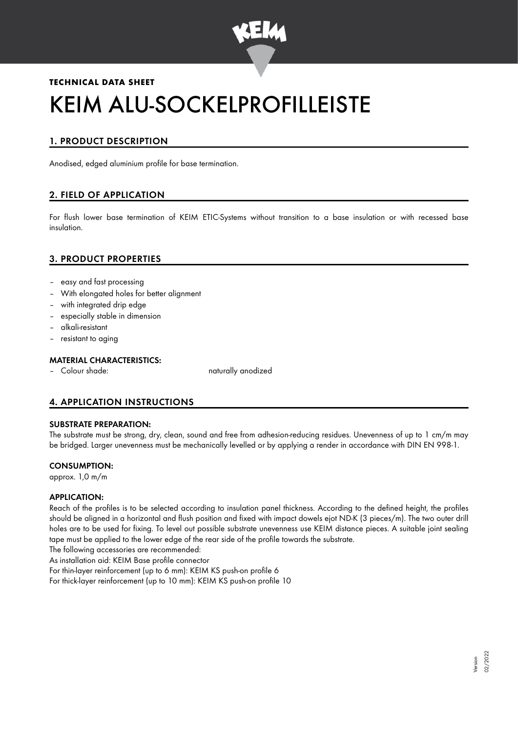

# **TECHNICAL DATA SHEET** KEIM ALU-SOCKELPROFILLEISTE

## 1. PRODUCT DESCRIPTION

Anodised, edged aluminium profile for base termination.

## 2. FIELD OF APPLICATION

For flush lower base termination of KEIM ETIC-Systems without transition to a base insulation or with recessed base insulation.

## 3. PRODUCT PROPERTIES

- easy and fast processing
- With elongated holes for better alignment
- with integrated drip edge
- especially stable in dimension
- alkali-resistant
- resistant to aging

#### MATERIAL CHARACTERISTICS:

– Colour shade: naturally anodized

## 4. APPLICATION INSTRUCTIONS

#### SUBSTRATE PREPARATION:

The substrate must be strong, dry, clean, sound and free from adhesion-reducing residues. Unevenness of up to 1 cm/m may be bridged. Larger unevenness must be mechanically levelled or by applying a render in accordance with DIN EN 998-1.

#### CONSUMPTION:

approx. 1,0 m/m

#### APPLICATION:

Reach of the profiles is to be selected according to insulation panel thickness. According to the defined height, the profiles should be aligned in a horizontal and flush position and fixed with impact dowels ejot ND-K (3 pieces/m). The two outer drill holes are to be used for fixing. To level out possible substrate unevenness use KEIM distance pieces. A suitable joint sealing tape must be applied to the lower edge of the rear side of the profile towards the substrate.

The following accessories are recommended:

As installation aid: KEIM Base profile connector

For thin-layer reinforcement (up to 6 mm): KEIM KS push-on profile 6

For thick-layer reinforcement (up to 10 mm): KEIM KS push-on profile 10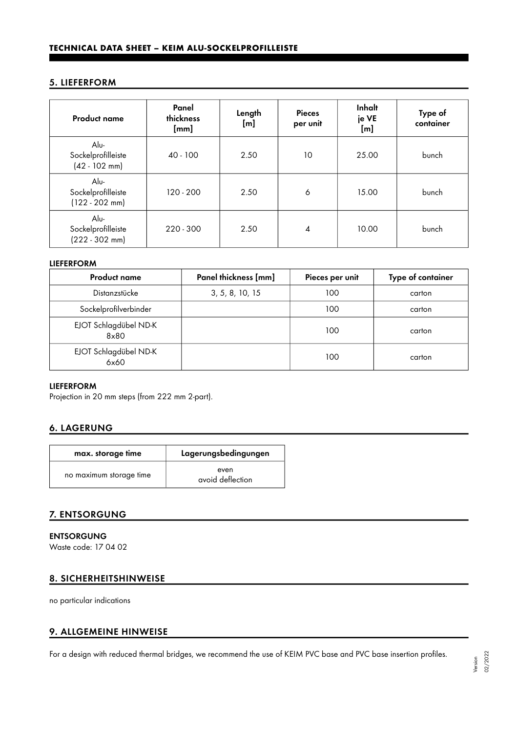## 5. LIEFERFORM

| <b>Product name</b>                            | Panel<br>thickness<br>[mm] | Length<br>[m] | <b>Pieces</b><br>per unit | Inhalt<br>je VE<br>[m] | Type of<br>container |
|------------------------------------------------|----------------------------|---------------|---------------------------|------------------------|----------------------|
| Alu-<br>Sockelprofilleiste<br>$(42 - 102$ mm)  | $40 - 100$                 | 2.50          | 10                        | 25.00                  | bunch                |
| Alu-<br>Sockelprofilleiste<br>$(122 - 202$ mm) | 120 - 200                  | 2.50          | 6                         | 15.00                  | bunch                |
| Alu-<br>Sockelprofilleiste<br>$(222 - 302$ mm) | $220 - 300$                | 2.50          | 4                         | 10.00                  | bunch                |

#### LIEFERFORM

| <b>Product name</b>           | Panel thickness [mm] | Pieces per unit | Type of container |
|-------------------------------|----------------------|-----------------|-------------------|
| Distanzstücke                 | 3, 5, 8, 10, 15      | 100             | carton            |
| Sockelprofilverbinder         |                      | 100             | carton            |
| EJOT Schlagdübel ND-K<br>8x80 |                      | 100             | carton            |
| EJOT Schlagdübel ND-K<br>6x60 |                      | 100             | carton            |

## LIEFERFORM

Projection in 20 mm steps (from 222 mm 2-part).

## 6. LAGERUNG

| max. storage time       | Lagerungsbedingungen     |  |  |
|-------------------------|--------------------------|--|--|
| no maximum storage time | even<br>avoid deflection |  |  |

## 7. ENTSORGUNG

ENTSORGUNG Waste code: 17 04 02

## 8. SICHERHEITSHINWEISE

no particular indications

## 9. ALLGEMEINE HINWEISE

For a design with reduced thermal bridges, we recommend the use of KEIM PVC base and PVC base insertion profiles.